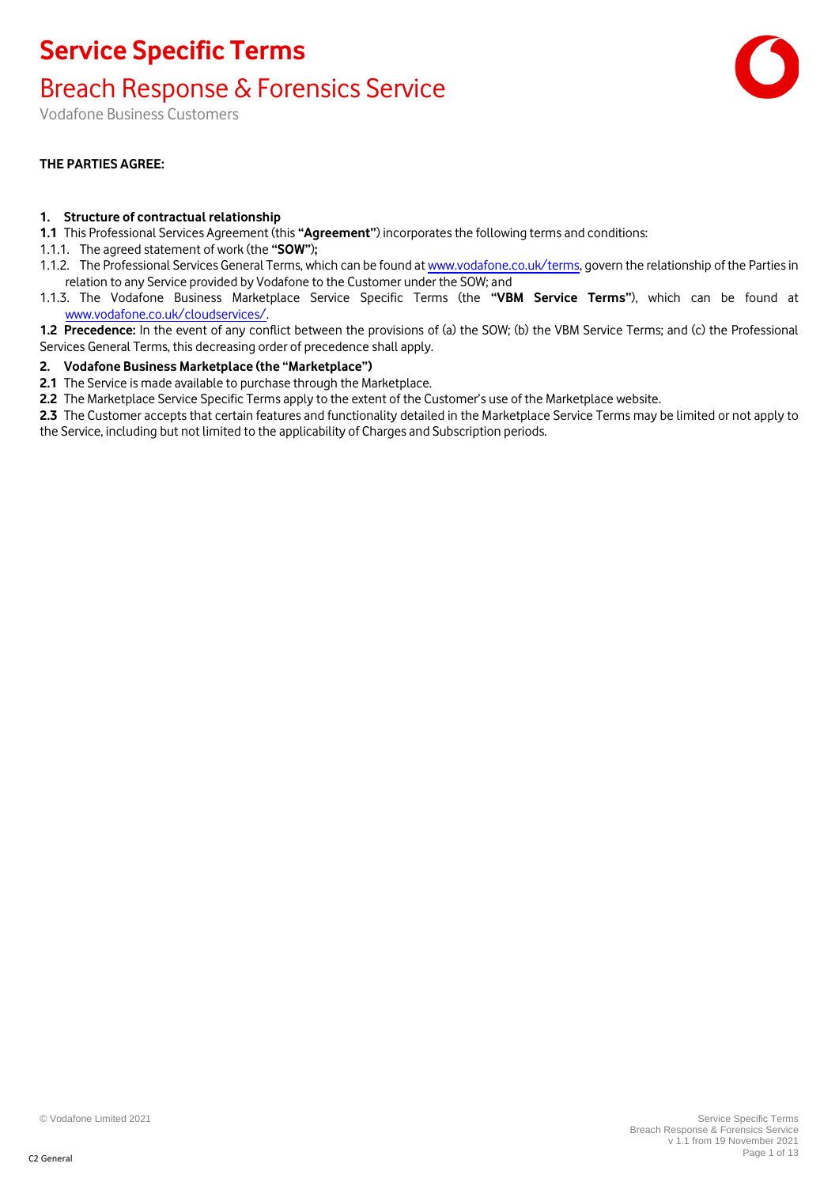#### Breach Response & Forensics Service

Vodafone Business Customers

#### **THE PARTIES AGREE:**

#### **1. Structure of contractual relationship**

- **1.1** This Professional Services Agreement (this **"Agreement"**) incorporates the following terms and conditions:
- 1.1.1. The agreed statement of work (the **"SOW"**)**;**
- 1.1.2. The Professional Services General Terms, which can be found at [www.vodafone.co.uk/terms,](http://www.vodafone.co.uk/terms) govern the relationship of the Parties in relation to any Service provided by Vodafone to the Customer under the SOW; and
- 1.1.3. The Vodafone Business Marketplace Service Specific Terms (the **"VBM Service Terms"**), which can be found at [www.vodafone.co.uk/cloudservices/.](http://www.vodafone.co.uk/cloudservices/)
- **1.2 Precedence:** In the event of any conflict between the provisions of (a) the SOW; (b) the VBM Service Terms; and (c) the Professional Services General Terms, this decreasing order of precedence shall apply.

#### **2. Vodafone Business Marketplace (the "Marketplace")**

- **2.1** The Service is made available to purchase through the Marketplace.
- **2.2** The Marketplace Service Specific Terms apply to the extent of the Customer's use of the Marketplace website.
- **2.3** The Customer accepts that certain features and functionality detailed in the Marketplace Service Terms may be limited or not apply to the Service, including but not limited to the applicability of Charges and Subscription periods.

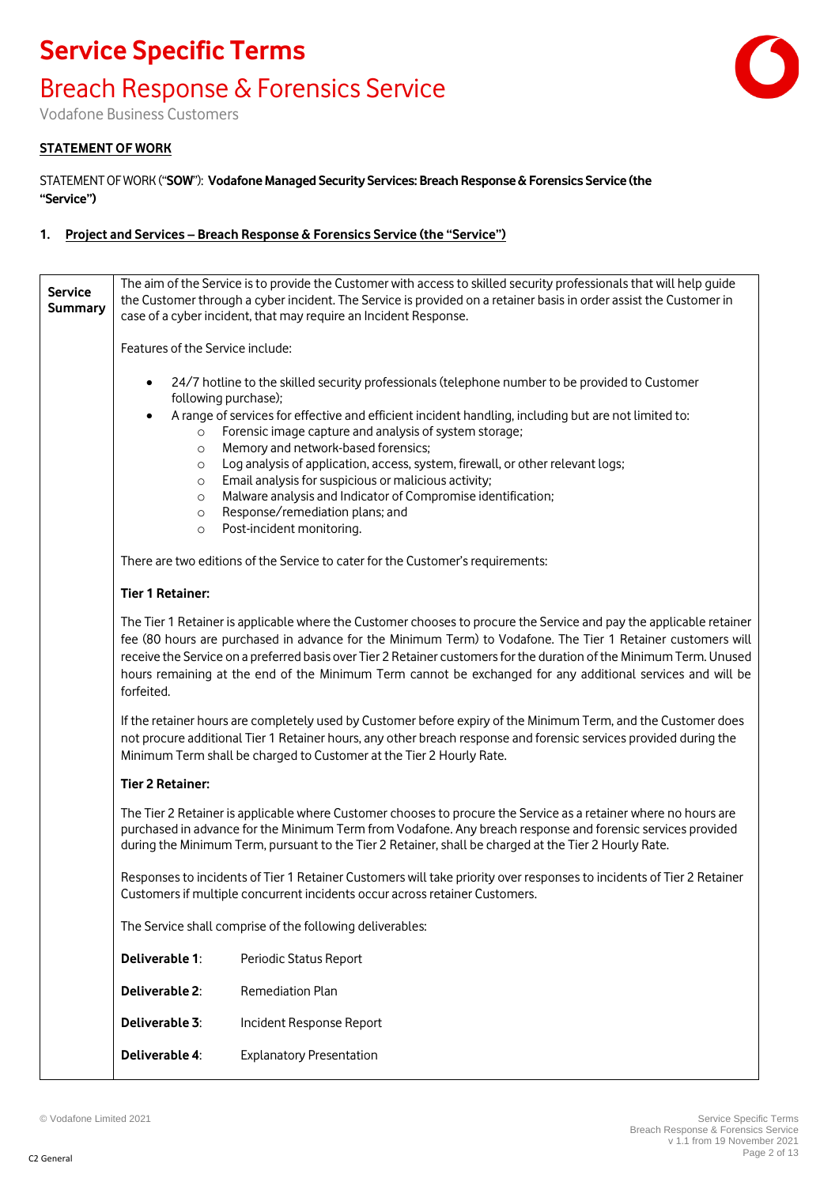#### Breach Response & Forensics Service



Vodafone Business Customers

#### **STATEMENT OF WORK**

STATEMENT OF WORK ("SOW"): Vodafone Managed Security Services: Breach Response & Forensics Service (the **"Service")**

#### **1. Project and Services – Breach Response & Forensics Service (the "Service")**

| <b>Service</b><br><b>Summary</b> | The aim of the Service is to provide the Customer with access to skilled security professionals that will help guide<br>the Customer through a cyber incident. The Service is provided on a retainer basis in order assist the Customer in<br>case of a cyber incident, that may require an Incident Response. |                                                                                                                                                                                                                                                                                                                                                                                                                                                                           |
|----------------------------------|----------------------------------------------------------------------------------------------------------------------------------------------------------------------------------------------------------------------------------------------------------------------------------------------------------------|---------------------------------------------------------------------------------------------------------------------------------------------------------------------------------------------------------------------------------------------------------------------------------------------------------------------------------------------------------------------------------------------------------------------------------------------------------------------------|
|                                  | Features of the Service include:                                                                                                                                                                                                                                                                               |                                                                                                                                                                                                                                                                                                                                                                                                                                                                           |
|                                  | $\bullet$<br>following purchase);<br>$\bullet$<br>$\circ$<br>$\circ$                                                                                                                                                                                                                                           | 24/7 hotline to the skilled security professionals (telephone number to be provided to Customer<br>A range of services for effective and efficient incident handling, including but are not limited to:<br>Forensic image capture and analysis of system storage;<br>Memory and network-based forensics;                                                                                                                                                                  |
|                                  | $\circ$                                                                                                                                                                                                                                                                                                        | Log analysis of application, access, system, firewall, or other relevant logs;<br>Email analysis for suspicious or malicious activity;                                                                                                                                                                                                                                                                                                                                    |
|                                  | $\circ$<br>$\circ$<br>$\circ$<br>$\circ$                                                                                                                                                                                                                                                                       | Malware analysis and Indicator of Compromise identification;<br>Response/remediation plans; and<br>Post-incident monitoring.                                                                                                                                                                                                                                                                                                                                              |
|                                  |                                                                                                                                                                                                                                                                                                                | There are two editions of the Service to cater for the Customer's requirements:                                                                                                                                                                                                                                                                                                                                                                                           |
|                                  | <b>Tier 1 Retainer:</b>                                                                                                                                                                                                                                                                                        |                                                                                                                                                                                                                                                                                                                                                                                                                                                                           |
|                                  | forfeited.                                                                                                                                                                                                                                                                                                     | The Tier 1 Retainer is applicable where the Customer chooses to procure the Service and pay the applicable retainer<br>fee (80 hours are purchased in advance for the Minimum Term) to Vodafone. The Tier 1 Retainer customers will<br>receive the Service on a preferred basis over Tier 2 Retainer customers for the duration of the Minimum Term. Unused<br>hours remaining at the end of the Minimum Term cannot be exchanged for any additional services and will be |
|                                  |                                                                                                                                                                                                                                                                                                                | If the retainer hours are completely used by Customer before expiry of the Minimum Term, and the Customer does<br>not procure additional Tier 1 Retainer hours, any other breach response and forensic services provided during the<br>Minimum Term shall be charged to Customer at the Tier 2 Hourly Rate.                                                                                                                                                               |
|                                  | <b>Tier 2 Retainer:</b>                                                                                                                                                                                                                                                                                        |                                                                                                                                                                                                                                                                                                                                                                                                                                                                           |
|                                  |                                                                                                                                                                                                                                                                                                                | The Tier 2 Retainer is applicable where Customer chooses to procure the Service as a retainer where no hours are<br>purchased in advance for the Minimum Term from Vodafone. Any breach response and forensic services provided<br>during the Minimum Term, pursuant to the Tier 2 Retainer, shall be charged at the Tier 2 Hourly Rate.                                                                                                                                  |
|                                  |                                                                                                                                                                                                                                                                                                                | Responses to incidents of Tier 1 Retainer Customers will take priority over responses to incidents of Tier 2 Retainer<br>Customers if multiple concurrent incidents occur across retainer Customers.                                                                                                                                                                                                                                                                      |
|                                  |                                                                                                                                                                                                                                                                                                                | The Service shall comprise of the following deliverables:                                                                                                                                                                                                                                                                                                                                                                                                                 |
|                                  | Deliverable 1:                                                                                                                                                                                                                                                                                                 | Periodic Status Report                                                                                                                                                                                                                                                                                                                                                                                                                                                    |
|                                  | Deliverable 2:                                                                                                                                                                                                                                                                                                 | Remediation Plan                                                                                                                                                                                                                                                                                                                                                                                                                                                          |
|                                  | Deliverable 3:                                                                                                                                                                                                                                                                                                 | Incident Response Report                                                                                                                                                                                                                                                                                                                                                                                                                                                  |
|                                  | Deliverable 4:                                                                                                                                                                                                                                                                                                 | <b>Explanatory Presentation</b>                                                                                                                                                                                                                                                                                                                                                                                                                                           |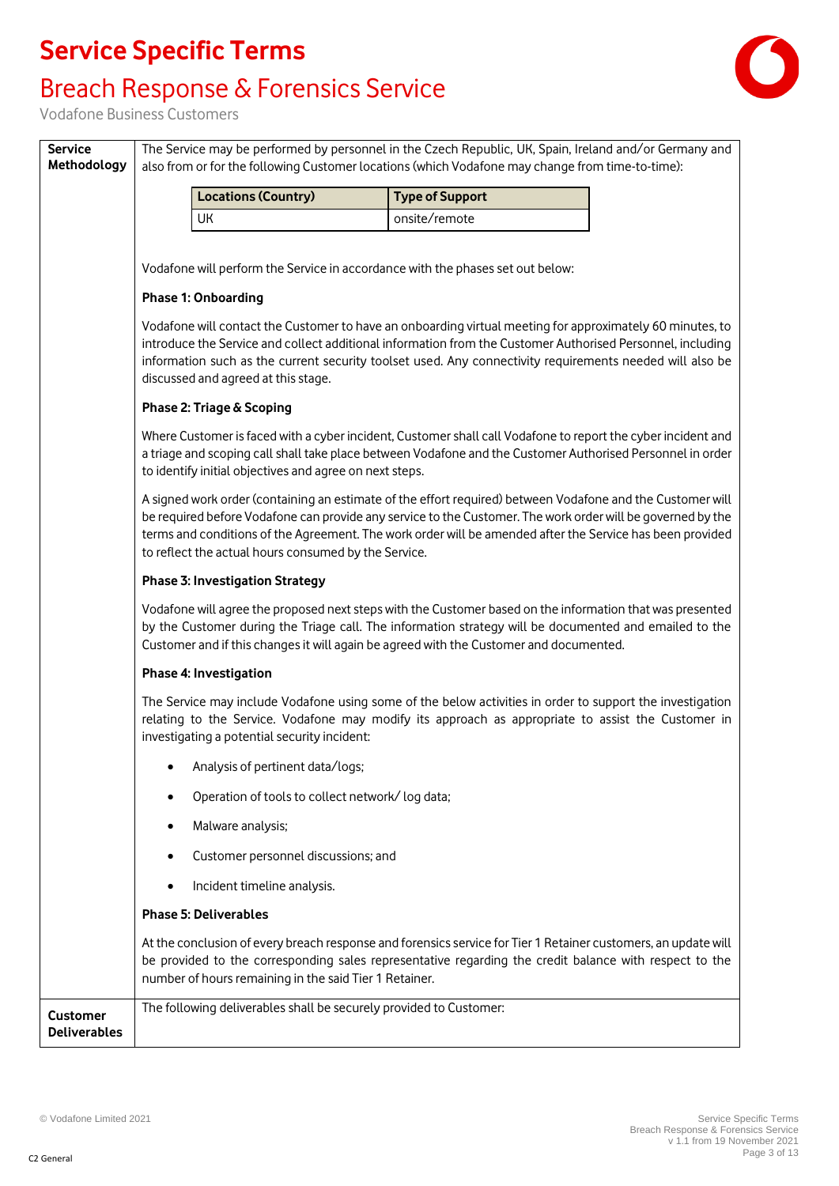### Breach Response & Forensics Service



Vodafone Business Customers

**Service** 

| Methodology                            | also from or for the following Customer locations (which Vodafone may change from time-to-time):                                                                                                                                                                                                                                                                                               |  |  |
|----------------------------------------|------------------------------------------------------------------------------------------------------------------------------------------------------------------------------------------------------------------------------------------------------------------------------------------------------------------------------------------------------------------------------------------------|--|--|
|                                        | <b>Locations (Country)</b><br><b>Type of Support</b>                                                                                                                                                                                                                                                                                                                                           |  |  |
|                                        | <b>UK</b><br>onsite/remote                                                                                                                                                                                                                                                                                                                                                                     |  |  |
|                                        | Vodafone will perform the Service in accordance with the phases set out below:                                                                                                                                                                                                                                                                                                                 |  |  |
|                                        | <b>Phase 1: Onboarding</b>                                                                                                                                                                                                                                                                                                                                                                     |  |  |
|                                        | Vodafone will contact the Customer to have an onboarding virtual meeting for approximately 60 minutes, to<br>introduce the Service and collect additional information from the Customer Authorised Personnel, including<br>information such as the current security toolset used. Any connectivity requirements needed will also be<br>discussed and agreed at this stage.                     |  |  |
|                                        | Phase 2: Triage & Scoping                                                                                                                                                                                                                                                                                                                                                                      |  |  |
|                                        | Where Customer is faced with a cyber incident, Customer shall call Vodafone to report the cyber incident and<br>a triage and scoping call shall take place between Vodafone and the Customer Authorised Personnel in order<br>to identify initial objectives and agree on next steps.                                                                                                          |  |  |
|                                        | A signed work order (containing an estimate of the effort required) between Vodafone and the Customer will<br>be required before Vodafone can provide any service to the Customer. The work order will be governed by the<br>terms and conditions of the Agreement. The work order will be amended after the Service has been provided<br>to reflect the actual hours consumed by the Service. |  |  |
|                                        | <b>Phase 3: Investigation Strategy</b>                                                                                                                                                                                                                                                                                                                                                         |  |  |
|                                        | Vodafone will agree the proposed next steps with the Customer based on the information that was presented<br>by the Customer during the Triage call. The information strategy will be documented and emailed to the<br>Customer and if this changes it will again be agreed with the Customer and documented.                                                                                  |  |  |
|                                        | Phase 4: Investigation                                                                                                                                                                                                                                                                                                                                                                         |  |  |
|                                        | The Service may include Vodafone using some of the below activities in order to support the investigation<br>relating to the Service. Vodafone may modify its approach as appropriate to assist the Customer in<br>investigating a potential security incident:                                                                                                                                |  |  |
|                                        | Analysis of pertinent data/logs;                                                                                                                                                                                                                                                                                                                                                               |  |  |
|                                        | Operation of tools to collect network/log data;                                                                                                                                                                                                                                                                                                                                                |  |  |
|                                        | Malware analysis;                                                                                                                                                                                                                                                                                                                                                                              |  |  |
|                                        | Customer personnel discussions; and                                                                                                                                                                                                                                                                                                                                                            |  |  |
|                                        | Incident timeline analysis.                                                                                                                                                                                                                                                                                                                                                                    |  |  |
|                                        | <b>Phase 5: Deliverables</b>                                                                                                                                                                                                                                                                                                                                                                   |  |  |
|                                        | At the conclusion of every breach response and forensics service for Tier 1 Retainer customers, an update will<br>be provided to the corresponding sales representative regarding the credit balance with respect to the<br>number of hours remaining in the said Tier 1 Retainer.                                                                                                             |  |  |
| <b>Customer</b><br><b>Deliverables</b> | The following deliverables shall be securely provided to Customer:                                                                                                                                                                                                                                                                                                                             |  |  |

The Service may be performed by personnel in the Czech Republic, UK, Spain, Ireland and/or Germany and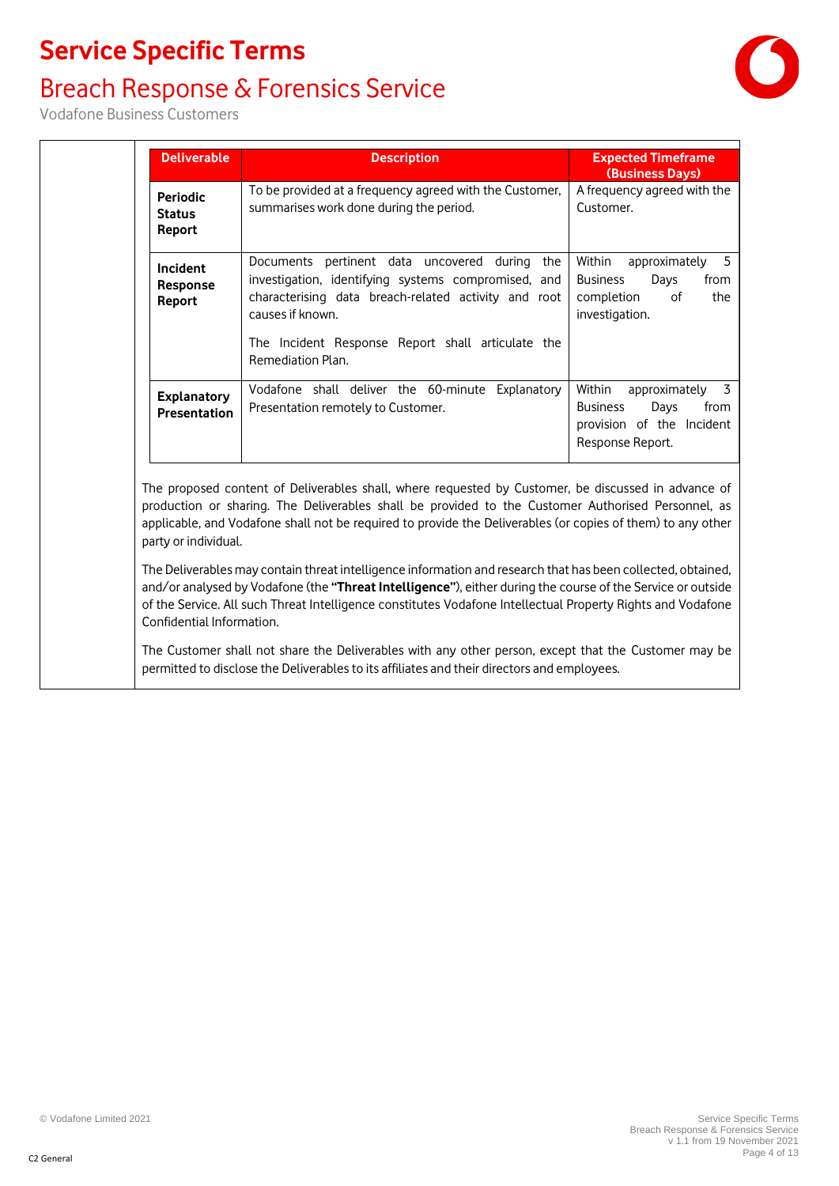### Breach Response & Forensics Service



Vodafone Business Customers

|                                            | <b>Description</b>                                                                                                                                                                                                                                         | <b>Expected Timeframe</b><br>(Business Days)                                                                     |
|--------------------------------------------|------------------------------------------------------------------------------------------------------------------------------------------------------------------------------------------------------------------------------------------------------------|------------------------------------------------------------------------------------------------------------------|
| <b>Periodic</b><br><b>Status</b><br>Report | To be provided at a frequency agreed with the Customer,<br>summarises work done during the period.                                                                                                                                                         | A frequency agreed with the<br>Customer.                                                                         |
| Incident<br>Response<br>Report             | Documents pertinent data uncovered during the<br>investigation, identifying systems compromised, and<br>characterising data breach-related activity and root<br>causes if known.<br>The Incident Response Report shall articulate the<br>Remediation Plan. | 5<br>Within<br>approximately<br><b>Business</b><br>Days<br>from<br>completion<br>of<br>the<br>investigation.     |
| <b>Explanatory</b><br><b>Presentation</b>  | Vodafone shall deliver the 60-minute Explanatory<br>Presentation remotely to Customer.                                                                                                                                                                     | 3<br>Within<br>approximately<br>from<br><b>Business</b><br>Days<br>provision of the Incident<br>Response Report. |

The Customer shall not share the Deliverables with any other person, except that the Customer may be permitted to disclose the Deliverables to its affiliates and their directors and employees.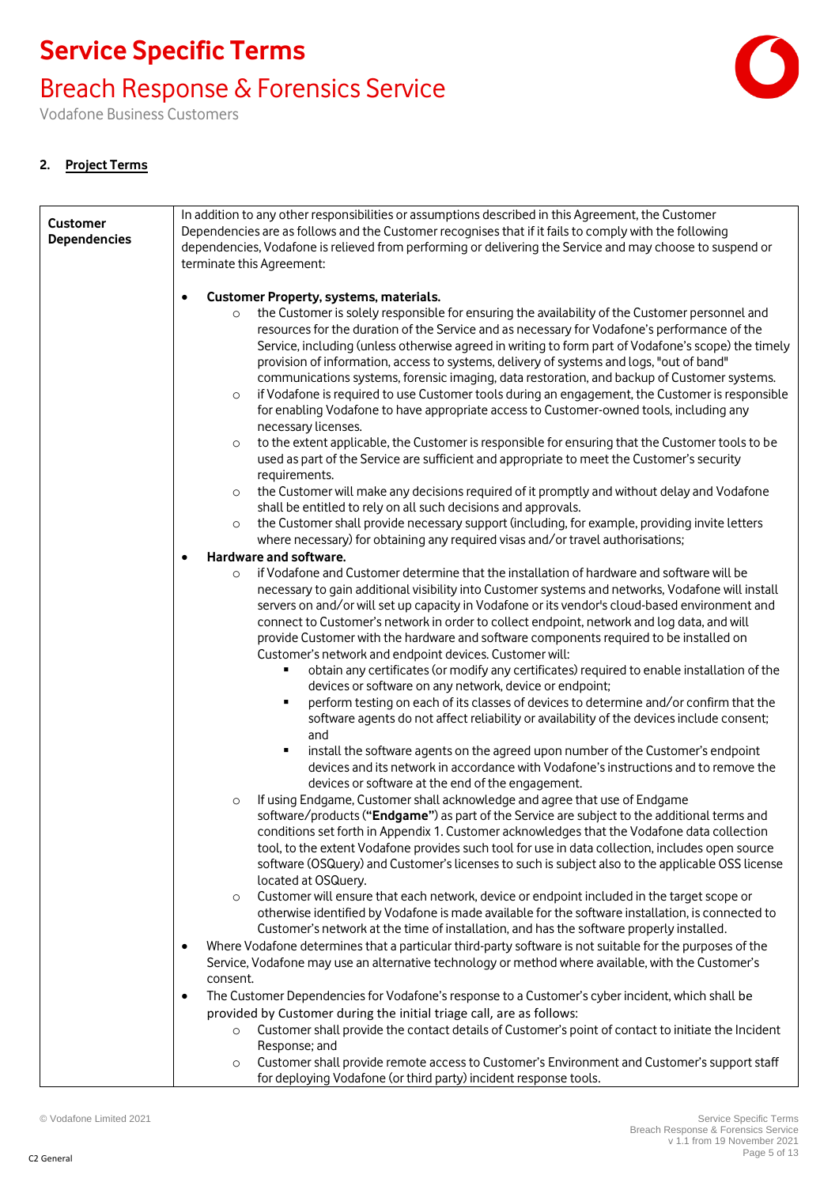### Breach Response & Forensics Service

Vodafone Business Customers

#### **2. Project Terms**

| <b>Customer</b><br><b>Dependencies</b> | In addition to any other responsibilities or assumptions described in this Agreement, the Customer<br>Dependencies are as follows and the Customer recognises that if it fails to comply with the following<br>dependencies, Vodafone is relieved from performing or delivering the Service and may choose to suspend or<br>terminate this Agreement:                                                                                                                                                                                                                                                                                                                                                                |
|----------------------------------------|----------------------------------------------------------------------------------------------------------------------------------------------------------------------------------------------------------------------------------------------------------------------------------------------------------------------------------------------------------------------------------------------------------------------------------------------------------------------------------------------------------------------------------------------------------------------------------------------------------------------------------------------------------------------------------------------------------------------|
|                                        | Customer Property, systems, materials.<br>$\bullet$                                                                                                                                                                                                                                                                                                                                                                                                                                                                                                                                                                                                                                                                  |
|                                        | the Customer is solely responsible for ensuring the availability of the Customer personnel and<br>$\circ$<br>resources for the duration of the Service and as necessary for Vodafone's performance of the<br>Service, including (unless otherwise agreed in writing to form part of Vodafone's scope) the timely<br>provision of information, access to systems, delivery of systems and logs, "out of band"<br>communications systems, forensic imaging, data restoration, and backup of Customer systems.<br>if Vodafone is required to use Customer tools during an engagement, the Customer is responsible<br>$\circ$<br>for enabling Vodafone to have appropriate access to Customer-owned tools, including any |
|                                        | necessary licenses.<br>to the extent applicable, the Customer is responsible for ensuring that the Customer tools to be<br>$\circ$<br>used as part of the Service are sufficient and appropriate to meet the Customer's security                                                                                                                                                                                                                                                                                                                                                                                                                                                                                     |
|                                        | requirements.<br>the Customer will make any decisions required of it promptly and without delay and Vodafone<br>$\circ$<br>shall be entitled to rely on all such decisions and approvals.                                                                                                                                                                                                                                                                                                                                                                                                                                                                                                                            |
|                                        | the Customer shall provide necessary support (including, for example, providing invite letters<br>$\circ$<br>where necessary) for obtaining any required visas and/or travel authorisations;                                                                                                                                                                                                                                                                                                                                                                                                                                                                                                                         |
|                                        | Hardware and software.<br>$\bullet$                                                                                                                                                                                                                                                                                                                                                                                                                                                                                                                                                                                                                                                                                  |
|                                        | if Vodafone and Customer determine that the installation of hardware and software will be<br>$\Omega$<br>necessary to gain additional visibility into Customer systems and networks, Vodafone will install<br>servers on and/or will set up capacity in Vodafone or its vendor's cloud-based environment and<br>connect to Customer's network in order to collect endpoint, network and log data, and will<br>provide Customer with the hardware and software components required to be installed on<br>Customer's network and endpoint devices. Customer will:                                                                                                                                                      |
|                                        | obtain any certificates (or modify any certificates) required to enable installation of the<br>٠<br>devices or software on any network, device or endpoint;<br>perform testing on each of its classes of devices to determine and/or confirm that the<br>п<br>software agents do not affect reliability or availability of the devices include consent;<br>and                                                                                                                                                                                                                                                                                                                                                       |
|                                        | install the software agents on the agreed upon number of the Customer's endpoint<br>٠<br>devices and its network in accordance with Vodafone's instructions and to remove the<br>devices or software at the end of the engagement.                                                                                                                                                                                                                                                                                                                                                                                                                                                                                   |
|                                        | If using Endgame, Customer shall acknowledge and agree that use of Endgame<br>$\circ$<br>software/products ("Endgame") as part of the Service are subject to the additional terms and<br>conditions set forth in Appendix 1. Customer acknowledges that the Vodafone data collection<br>tool, to the extent Vodafone provides such tool for use in data collection, includes open source<br>software (OSQuery) and Customer's licenses to such is subject also to the applicable OSS license<br>located at OSQuery.                                                                                                                                                                                                  |
|                                        | Customer will ensure that each network, device or endpoint included in the target scope or<br>$\circ$<br>otherwise identified by Vodafone is made available for the software installation, is connected to<br>Customer's network at the time of installation, and has the software properly installed.                                                                                                                                                                                                                                                                                                                                                                                                               |
|                                        | Where Vodafone determines that a particular third-party software is not suitable for the purposes of the<br>$\bullet$<br>Service, Vodafone may use an alternative technology or method where available, with the Customer's<br>consent.                                                                                                                                                                                                                                                                                                                                                                                                                                                                              |
|                                        | The Customer Dependencies for Vodafone's response to a Customer's cyber incident, which shall be<br>$\bullet$                                                                                                                                                                                                                                                                                                                                                                                                                                                                                                                                                                                                        |
|                                        | provided by Customer during the initial triage call, are as follows:                                                                                                                                                                                                                                                                                                                                                                                                                                                                                                                                                                                                                                                 |
|                                        | Customer shall provide the contact details of Customer's point of contact to initiate the Incident<br>$\circ$<br>Response; and                                                                                                                                                                                                                                                                                                                                                                                                                                                                                                                                                                                       |
|                                        | Customer shall provide remote access to Customer's Environment and Customer's support staff<br>$\circ$<br>for deploying Vodafone (or third party) incident response tools.                                                                                                                                                                                                                                                                                                                                                                                                                                                                                                                                           |

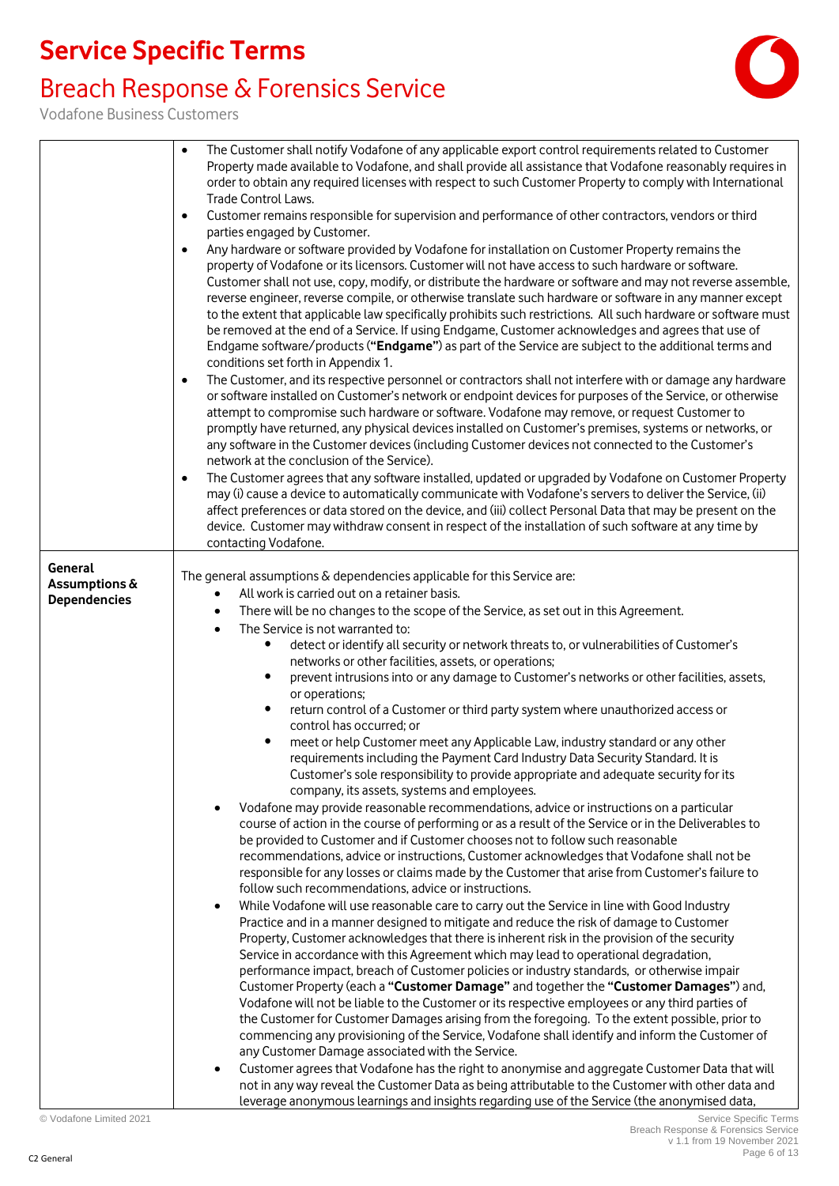### Breach Response & Forensics Service



Vodafone Business Customers

|                                                 | The Customer shall notify Vodafone of any applicable export control requirements related to Customer<br>$\bullet$<br>Property made available to Vodafone, and shall provide all assistance that Vodafone reasonably requires in<br>order to obtain any required licenses with respect to such Customer Property to comply with International<br>Trade Control Laws.<br>Customer remains responsible for supervision and performance of other contractors, vendors or third<br>$\bullet$<br>parties engaged by Customer.<br>Any hardware or software provided by Vodafone for installation on Customer Property remains the<br>$\bullet$<br>property of Vodafone or its licensors. Customer will not have access to such hardware or software.<br>Customer shall not use, copy, modify, or distribute the hardware or software and may not reverse assemble,<br>reverse engineer, reverse compile, or otherwise translate such hardware or software in any manner except<br>to the extent that applicable law specifically prohibits such restrictions. All such hardware or software must<br>be removed at the end of a Service. If using Endgame, Customer acknowledges and agrees that use of<br>Endgame software/products ("Endgame") as part of the Service are subject to the additional terms and<br>conditions set forth in Appendix 1.<br>The Customer, and its respective personnel or contractors shall not interfere with or damage any hardware<br>$\bullet$<br>or software installed on Customer's network or endpoint devices for purposes of the Service, or otherwise<br>attempt to compromise such hardware or software. Vodafone may remove, or request Customer to<br>promptly have returned, any physical devices installed on Customer's premises, systems or networks, or<br>any software in the Customer devices (including Customer devices not connected to the Customer's<br>network at the conclusion of the Service).<br>The Customer agrees that any software installed, updated or upgraded by Vodafone on Customer Property<br>$\bullet$<br>may (i) cause a device to automatically communicate with Vodafone's servers to deliver the Service, (ii)<br>affect preferences or data stored on the device, and (iii) collect Personal Data that may be present on the<br>device. Customer may withdraw consent in respect of the installation of such software at any time by<br>contacting Vodafone.                                                                                                                                                                                                                                                                                                                                                                                     |
|-------------------------------------------------|------------------------------------------------------------------------------------------------------------------------------------------------------------------------------------------------------------------------------------------------------------------------------------------------------------------------------------------------------------------------------------------------------------------------------------------------------------------------------------------------------------------------------------------------------------------------------------------------------------------------------------------------------------------------------------------------------------------------------------------------------------------------------------------------------------------------------------------------------------------------------------------------------------------------------------------------------------------------------------------------------------------------------------------------------------------------------------------------------------------------------------------------------------------------------------------------------------------------------------------------------------------------------------------------------------------------------------------------------------------------------------------------------------------------------------------------------------------------------------------------------------------------------------------------------------------------------------------------------------------------------------------------------------------------------------------------------------------------------------------------------------------------------------------------------------------------------------------------------------------------------------------------------------------------------------------------------------------------------------------------------------------------------------------------------------------------------------------------------------------------------------------------------------------------------------------------------------------------------------------------------------------------------------------------------------------------------------------------------------------------------------------------------------------------------------------------------------------------------------------------------------------------------------------------------------------------------------------------------------------------------------------------------------------------------------------------------------------------------------------------------------------------------------------------------------------------|
| General<br>Assumptions &<br><b>Dependencies</b> | The general assumptions & dependencies applicable for this Service are:<br>All work is carried out on a retainer basis.<br>There will be no changes to the scope of the Service, as set out in this Agreement.<br>$\bullet$<br>The Service is not warranted to:<br>$\bullet$<br>detect or identify all security or network threats to, or vulnerabilities of Customer's<br>$\bullet$<br>networks or other facilities, assets, or operations;<br>prevent intrusions into or any damage to Customer's networks or other facilities, assets,<br>$\bullet$<br>or operations;<br>return control of a Customer or third party system where unauthorized access or<br>$\bullet$<br>control has occurred; or<br>meet or help Customer meet any Applicable Law, industry standard or any other<br>٠<br>requirements including the Payment Card Industry Data Security Standard. It is<br>Customer's sole responsibility to provide appropriate and adequate security for its<br>company, its assets, systems and employees.<br>Vodafone may provide reasonable recommendations, advice or instructions on a particular<br>course of action in the course of performing or as a result of the Service or in the Deliverables to<br>be provided to Customer and if Customer chooses not to follow such reasonable<br>recommendations, advice or instructions, Customer acknowledges that Vodafone shall not be<br>responsible for any losses or claims made by the Customer that arise from Customer's failure to<br>follow such recommendations, advice or instructions.<br>While Vodafone will use reasonable care to carry out the Service in line with Good Industry<br>$\bullet$<br>Practice and in a manner designed to mitigate and reduce the risk of damage to Customer<br>Property, Customer acknowledges that there is inherent risk in the provision of the security<br>Service in accordance with this Agreement which may lead to operational degradation,<br>performance impact, breach of Customer policies or industry standards, or otherwise impair<br>Customer Property (each a "Customer Damage" and together the "Customer Damages") and,<br>Vodafone will not be liable to the Customer or its respective employees or any third parties of<br>the Customer for Customer Damages arising from the foregoing. To the extent possible, prior to<br>commencing any provisioning of the Service, Vodafone shall identify and inform the Customer of<br>any Customer Damage associated with the Service.<br>Customer agrees that Vodafone has the right to anonymise and aggregate Customer Data that will<br>not in any way reveal the Customer Data as being attributable to the Customer with other data and<br>leverage anonymous learnings and insights regarding use of the Service (the anonymised data, |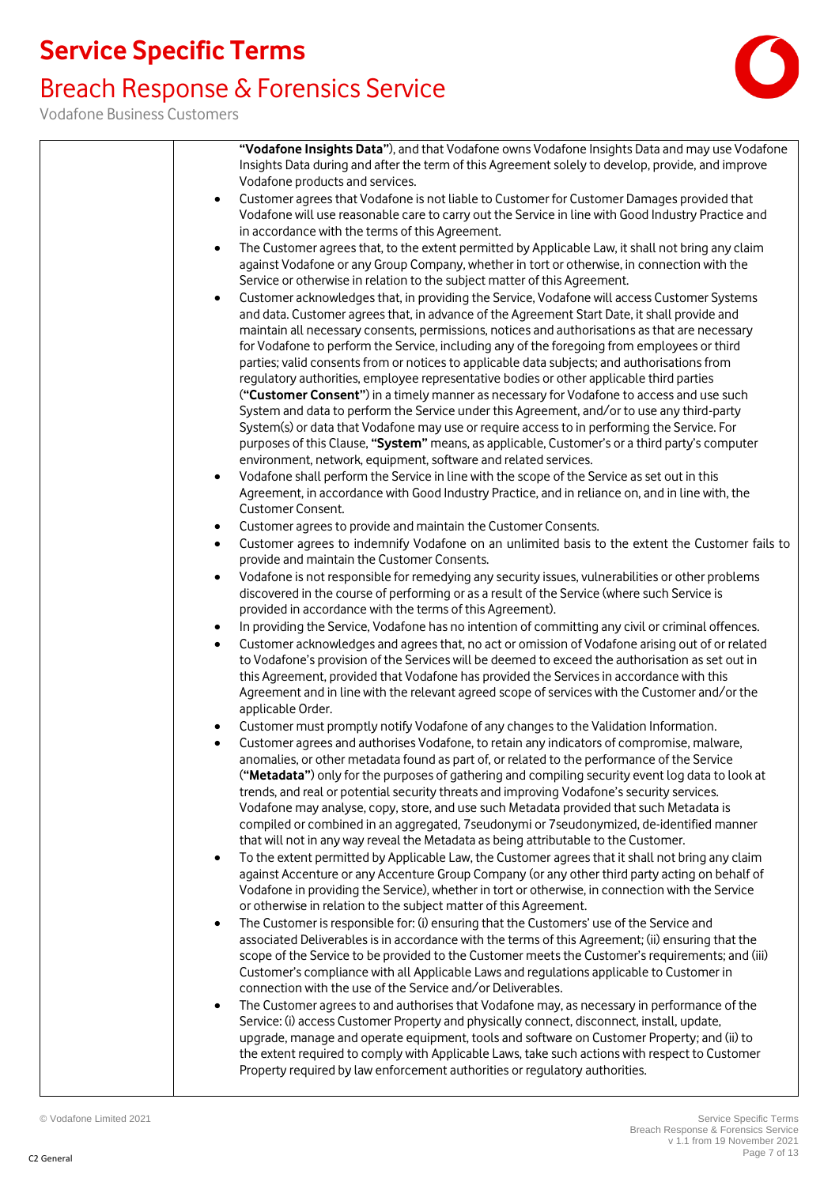### Breach Response & Forensics Service

Vodafone Business Customers

| "Vodafone Insights Data"), and that Vodafone owns Vodafone Insights Data and may use Vodafone<br>Insights Data during and after the term of this Agreement solely to develop, provide, and improve<br>Vodafone products and services.<br>Customer agrees that Vodafone is not liable to Customer for Customer Damages provided that<br>$\bullet$<br>Vodafone will use reasonable care to carry out the Service in line with Good Industry Practice and<br>in accordance with the terms of this Agreement.<br>The Customer agrees that, to the extent permitted by Applicable Law, it shall not bring any claim<br>$\bullet$<br>against Vodafone or any Group Company, whether in tort or otherwise, in connection with the<br>Service or otherwise in relation to the subject matter of this Agreement.<br>Customer acknowledges that, in providing the Service, Vodafone will access Customer Systems<br>$\bullet$<br>and data. Customer agrees that, in advance of the Agreement Start Date, it shall provide and<br>maintain all necessary consents, permissions, notices and authorisations as that are necessary<br>for Vodafone to perform the Service, including any of the foregoing from employees or third<br>parties; valid consents from or notices to applicable data subjects; and authorisations from<br>regulatory authorities, employee representative bodies or other applicable third parties<br>("Customer Consent") in a timely manner as necessary for Vodafone to access and use such<br>System and data to perform the Service under this Agreement, and/or to use any third-party<br>System(s) or data that Vodafone may use or require access to in performing the Service. For<br>purposes of this Clause, "System" means, as applicable, Customer's or a third party's computer<br>environment, network, equipment, software and related services.<br>Vodafone shall perform the Service in line with the scope of the Service as set out in this<br>$\bullet$<br>Agreement, in accordance with Good Industry Practice, and in reliance on, and in line with, the<br>Customer Consent.<br>Customer agrees to provide and maintain the Customer Consents.<br>$\bullet$<br>Customer agrees to indemnify Vodafone on an unlimited basis to the extent the Customer fails to<br>$\bullet$<br>provide and maintain the Customer Consents.<br>Vodafone is not responsible for remedying any security issues, vulnerabilities or other problems<br>$\bullet$<br>discovered in the course of performing or as a result of the Service (where such Service is<br>provided in accordance with the terms of this Agreement).<br>In providing the Service, Vodafone has no intention of committing any civil or criminal offences.<br>$\bullet$<br>Customer acknowledges and agrees that, no act or omission of Vodafone arising out of or related<br>$\bullet$<br>to Vodafone's provision of the Services will be deemed to exceed the authorisation as set out in<br>this Agreement, provided that Vodafone has provided the Services in accordance with this<br>Agreement and in line with the relevant agreed scope of services with the Customer and/or the<br>applicable Order.<br>Customer must promptly notify Vodafone of any changes to the Validation Information.<br>Customer agrees and authorises Vodafone, to retain any indicators of compromise, malware,<br>anomalies, or other metadata found as part of, or related to the performance of the Service<br>("Metadata") only for the purposes of gathering and compiling security event log data to look at<br>trends, and real or potential security threats and improving Vodafone's security services.<br>Vodafone may analyse, copy, store, and use such Metadata provided that such Metadata is<br>compiled or combined in an aggregated, 7 seudonymi or 7 seudonymized, de-identified manner<br>that will not in any way reveal the Metadata as being attributable to the Customer.<br>To the extent permitted by Applicable Law, the Customer agrees that it shall not bring any claim<br>$\bullet$<br>against Accenture or any Accenture Group Company (or any other third party acting on behalf of<br>Vodafone in providing the Service), whether in tort or otherwise, in connection with the Service<br>or otherwise in relation to the subject matter of this Agreement.<br>The Customer is responsible for: (i) ensuring that the Customers' use of the Service and<br>$\bullet$<br>associated Deliverables is in accordance with the terms of this Agreement; (ii) ensuring that the<br>scope of the Service to be provided to the Customer meets the Customer's requirements; and (iii)<br>Customer's compliance with all Applicable Laws and regulations applicable to Customer in<br>connection with the use of the Service and/or Deliverables.<br>The Customer agrees to and authorises that Vodafone may, as necessary in performance of the<br>Service: (i) access Customer Property and physically connect, disconnect, install, update,<br>upgrade, manage and operate equipment, tools and software on Customer Property; and (ii) to<br>the extent required to comply with Applicable Laws, take such actions with respect to Customer<br>Property required by law enforcement authorities or regulatory authorities. |  |  |
|-----------------------------------------------------------------------------------------------------------------------------------------------------------------------------------------------------------------------------------------------------------------------------------------------------------------------------------------------------------------------------------------------------------------------------------------------------------------------------------------------------------------------------------------------------------------------------------------------------------------------------------------------------------------------------------------------------------------------------------------------------------------------------------------------------------------------------------------------------------------------------------------------------------------------------------------------------------------------------------------------------------------------------------------------------------------------------------------------------------------------------------------------------------------------------------------------------------------------------------------------------------------------------------------------------------------------------------------------------------------------------------------------------------------------------------------------------------------------------------------------------------------------------------------------------------------------------------------------------------------------------------------------------------------------------------------------------------------------------------------------------------------------------------------------------------------------------------------------------------------------------------------------------------------------------------------------------------------------------------------------------------------------------------------------------------------------------------------------------------------------------------------------------------------------------------------------------------------------------------------------------------------------------------------------------------------------------------------------------------------------------------------------------------------------------------------------------------------------------------------------------------------------------------------------------------------------------------------------------------------------------------------------------------------------------------------------------------------------------------------------------------------------------------------------------------------------------------------------------------------------------------------------------------------------------------------------------------------------------------------------------------------------------------------------------------------------------------------------------------------------------------------------------------------------------------------------------------------------------------------------------------------------------------------------------------------------------------------------------------------------------------------------------------------------------------------------------------------------------------------------------------------------------------------------------------------------------------------------------------------------------------------------------------------------------------------------------------------------------------------------------------------------------------------------------------------------------------------------------------------------------------------------------------------------------------------------------------------------------------------------------------------------------------------------------------------------------------------------------------------------------------------------------------------------------------------------------------------------------------------------------------------------------------------------------------------------------------------------------------------------------------------------------------------------------------------------------------------------------------------------------------------------------------------------------------------------------------------------------------------------------------------------------------------------------------------------------------------------------------------------------------------------------------------------------------------------------------------------------------------------------------------------------------------------------------------------------------------------------------------------------------------------------------------------------------------------------------------------------------------------------------------------------------------------------------------------------------------------------------------------------------------------------------------------------------------------------------|--|--|
|                                                                                                                                                                                                                                                                                                                                                                                                                                                                                                                                                                                                                                                                                                                                                                                                                                                                                                                                                                                                                                                                                                                                                                                                                                                                                                                                                                                                                                                                                                                                                                                                                                                                                                                                                                                                                                                                                                                                                                                                                                                                                                                                                                                                                                                                                                                                                                                                                                                                                                                                                                                                                                                                                                                                                                                                                                                                                                                                                                                                                                                                                                                                                                                                                                                                                                                                                                                                                                                                                                                                                                                                                                                                                                                                                                                                                                                                                                                                                                                                                                                                                                                                                                                                                                                                                                                                                                                                                                                                                                                                                                                                                                                                                                                                                                                                                                                                                                                                                                                                                                                                                                                                                                                                                                                                                                                                   |  |  |
|                                                                                                                                                                                                                                                                                                                                                                                                                                                                                                                                                                                                                                                                                                                                                                                                                                                                                                                                                                                                                                                                                                                                                                                                                                                                                                                                                                                                                                                                                                                                                                                                                                                                                                                                                                                                                                                                                                                                                                                                                                                                                                                                                                                                                                                                                                                                                                                                                                                                                                                                                                                                                                                                                                                                                                                                                                                                                                                                                                                                                                                                                                                                                                                                                                                                                                                                                                                                                                                                                                                                                                                                                                                                                                                                                                                                                                                                                                                                                                                                                                                                                                                                                                                                                                                                                                                                                                                                                                                                                                                                                                                                                                                                                                                                                                                                                                                                                                                                                                                                                                                                                                                                                                                                                                                                                                                                   |  |  |
|                                                                                                                                                                                                                                                                                                                                                                                                                                                                                                                                                                                                                                                                                                                                                                                                                                                                                                                                                                                                                                                                                                                                                                                                                                                                                                                                                                                                                                                                                                                                                                                                                                                                                                                                                                                                                                                                                                                                                                                                                                                                                                                                                                                                                                                                                                                                                                                                                                                                                                                                                                                                                                                                                                                                                                                                                                                                                                                                                                                                                                                                                                                                                                                                                                                                                                                                                                                                                                                                                                                                                                                                                                                                                                                                                                                                                                                                                                                                                                                                                                                                                                                                                                                                                                                                                                                                                                                                                                                                                                                                                                                                                                                                                                                                                                                                                                                                                                                                                                                                                                                                                                                                                                                                                                                                                                                                   |  |  |
|                                                                                                                                                                                                                                                                                                                                                                                                                                                                                                                                                                                                                                                                                                                                                                                                                                                                                                                                                                                                                                                                                                                                                                                                                                                                                                                                                                                                                                                                                                                                                                                                                                                                                                                                                                                                                                                                                                                                                                                                                                                                                                                                                                                                                                                                                                                                                                                                                                                                                                                                                                                                                                                                                                                                                                                                                                                                                                                                                                                                                                                                                                                                                                                                                                                                                                                                                                                                                                                                                                                                                                                                                                                                                                                                                                                                                                                                                                                                                                                                                                                                                                                                                                                                                                                                                                                                                                                                                                                                                                                                                                                                                                                                                                                                                                                                                                                                                                                                                                                                                                                                                                                                                                                                                                                                                                                                   |  |  |
|                                                                                                                                                                                                                                                                                                                                                                                                                                                                                                                                                                                                                                                                                                                                                                                                                                                                                                                                                                                                                                                                                                                                                                                                                                                                                                                                                                                                                                                                                                                                                                                                                                                                                                                                                                                                                                                                                                                                                                                                                                                                                                                                                                                                                                                                                                                                                                                                                                                                                                                                                                                                                                                                                                                                                                                                                                                                                                                                                                                                                                                                                                                                                                                                                                                                                                                                                                                                                                                                                                                                                                                                                                                                                                                                                                                                                                                                                                                                                                                                                                                                                                                                                                                                                                                                                                                                                                                                                                                                                                                                                                                                                                                                                                                                                                                                                                                                                                                                                                                                                                                                                                                                                                                                                                                                                                                                   |  |  |
|                                                                                                                                                                                                                                                                                                                                                                                                                                                                                                                                                                                                                                                                                                                                                                                                                                                                                                                                                                                                                                                                                                                                                                                                                                                                                                                                                                                                                                                                                                                                                                                                                                                                                                                                                                                                                                                                                                                                                                                                                                                                                                                                                                                                                                                                                                                                                                                                                                                                                                                                                                                                                                                                                                                                                                                                                                                                                                                                                                                                                                                                                                                                                                                                                                                                                                                                                                                                                                                                                                                                                                                                                                                                                                                                                                                                                                                                                                                                                                                                                                                                                                                                                                                                                                                                                                                                                                                                                                                                                                                                                                                                                                                                                                                                                                                                                                                                                                                                                                                                                                                                                                                                                                                                                                                                                                                                   |  |  |
|                                                                                                                                                                                                                                                                                                                                                                                                                                                                                                                                                                                                                                                                                                                                                                                                                                                                                                                                                                                                                                                                                                                                                                                                                                                                                                                                                                                                                                                                                                                                                                                                                                                                                                                                                                                                                                                                                                                                                                                                                                                                                                                                                                                                                                                                                                                                                                                                                                                                                                                                                                                                                                                                                                                                                                                                                                                                                                                                                                                                                                                                                                                                                                                                                                                                                                                                                                                                                                                                                                                                                                                                                                                                                                                                                                                                                                                                                                                                                                                                                                                                                                                                                                                                                                                                                                                                                                                                                                                                                                                                                                                                                                                                                                                                                                                                                                                                                                                                                                                                                                                                                                                                                                                                                                                                                                                                   |  |  |
|                                                                                                                                                                                                                                                                                                                                                                                                                                                                                                                                                                                                                                                                                                                                                                                                                                                                                                                                                                                                                                                                                                                                                                                                                                                                                                                                                                                                                                                                                                                                                                                                                                                                                                                                                                                                                                                                                                                                                                                                                                                                                                                                                                                                                                                                                                                                                                                                                                                                                                                                                                                                                                                                                                                                                                                                                                                                                                                                                                                                                                                                                                                                                                                                                                                                                                                                                                                                                                                                                                                                                                                                                                                                                                                                                                                                                                                                                                                                                                                                                                                                                                                                                                                                                                                                                                                                                                                                                                                                                                                                                                                                                                                                                                                                                                                                                                                                                                                                                                                                                                                                                                                                                                                                                                                                                                                                   |  |  |
|                                                                                                                                                                                                                                                                                                                                                                                                                                                                                                                                                                                                                                                                                                                                                                                                                                                                                                                                                                                                                                                                                                                                                                                                                                                                                                                                                                                                                                                                                                                                                                                                                                                                                                                                                                                                                                                                                                                                                                                                                                                                                                                                                                                                                                                                                                                                                                                                                                                                                                                                                                                                                                                                                                                                                                                                                                                                                                                                                                                                                                                                                                                                                                                                                                                                                                                                                                                                                                                                                                                                                                                                                                                                                                                                                                                                                                                                                                                                                                                                                                                                                                                                                                                                                                                                                                                                                                                                                                                                                                                                                                                                                                                                                                                                                                                                                                                                                                                                                                                                                                                                                                                                                                                                                                                                                                                                   |  |  |
|                                                                                                                                                                                                                                                                                                                                                                                                                                                                                                                                                                                                                                                                                                                                                                                                                                                                                                                                                                                                                                                                                                                                                                                                                                                                                                                                                                                                                                                                                                                                                                                                                                                                                                                                                                                                                                                                                                                                                                                                                                                                                                                                                                                                                                                                                                                                                                                                                                                                                                                                                                                                                                                                                                                                                                                                                                                                                                                                                                                                                                                                                                                                                                                                                                                                                                                                                                                                                                                                                                                                                                                                                                                                                                                                                                                                                                                                                                                                                                                                                                                                                                                                                                                                                                                                                                                                                                                                                                                                                                                                                                                                                                                                                                                                                                                                                                                                                                                                                                                                                                                                                                                                                                                                                                                                                                                                   |  |  |
|                                                                                                                                                                                                                                                                                                                                                                                                                                                                                                                                                                                                                                                                                                                                                                                                                                                                                                                                                                                                                                                                                                                                                                                                                                                                                                                                                                                                                                                                                                                                                                                                                                                                                                                                                                                                                                                                                                                                                                                                                                                                                                                                                                                                                                                                                                                                                                                                                                                                                                                                                                                                                                                                                                                                                                                                                                                                                                                                                                                                                                                                                                                                                                                                                                                                                                                                                                                                                                                                                                                                                                                                                                                                                                                                                                                                                                                                                                                                                                                                                                                                                                                                                                                                                                                                                                                                                                                                                                                                                                                                                                                                                                                                                                                                                                                                                                                                                                                                                                                                                                                                                                                                                                                                                                                                                                                                   |  |  |
|                                                                                                                                                                                                                                                                                                                                                                                                                                                                                                                                                                                                                                                                                                                                                                                                                                                                                                                                                                                                                                                                                                                                                                                                                                                                                                                                                                                                                                                                                                                                                                                                                                                                                                                                                                                                                                                                                                                                                                                                                                                                                                                                                                                                                                                                                                                                                                                                                                                                                                                                                                                                                                                                                                                                                                                                                                                                                                                                                                                                                                                                                                                                                                                                                                                                                                                                                                                                                                                                                                                                                                                                                                                                                                                                                                                                                                                                                                                                                                                                                                                                                                                                                                                                                                                                                                                                                                                                                                                                                                                                                                                                                                                                                                                                                                                                                                                                                                                                                                                                                                                                                                                                                                                                                                                                                                                                   |  |  |
|                                                                                                                                                                                                                                                                                                                                                                                                                                                                                                                                                                                                                                                                                                                                                                                                                                                                                                                                                                                                                                                                                                                                                                                                                                                                                                                                                                                                                                                                                                                                                                                                                                                                                                                                                                                                                                                                                                                                                                                                                                                                                                                                                                                                                                                                                                                                                                                                                                                                                                                                                                                                                                                                                                                                                                                                                                                                                                                                                                                                                                                                                                                                                                                                                                                                                                                                                                                                                                                                                                                                                                                                                                                                                                                                                                                                                                                                                                                                                                                                                                                                                                                                                                                                                                                                                                                                                                                                                                                                                                                                                                                                                                                                                                                                                                                                                                                                                                                                                                                                                                                                                                                                                                                                                                                                                                                                   |  |  |
|                                                                                                                                                                                                                                                                                                                                                                                                                                                                                                                                                                                                                                                                                                                                                                                                                                                                                                                                                                                                                                                                                                                                                                                                                                                                                                                                                                                                                                                                                                                                                                                                                                                                                                                                                                                                                                                                                                                                                                                                                                                                                                                                                                                                                                                                                                                                                                                                                                                                                                                                                                                                                                                                                                                                                                                                                                                                                                                                                                                                                                                                                                                                                                                                                                                                                                                                                                                                                                                                                                                                                                                                                                                                                                                                                                                                                                                                                                                                                                                                                                                                                                                                                                                                                                                                                                                                                                                                                                                                                                                                                                                                                                                                                                                                                                                                                                                                                                                                                                                                                                                                                                                                                                                                                                                                                                                                   |  |  |
|                                                                                                                                                                                                                                                                                                                                                                                                                                                                                                                                                                                                                                                                                                                                                                                                                                                                                                                                                                                                                                                                                                                                                                                                                                                                                                                                                                                                                                                                                                                                                                                                                                                                                                                                                                                                                                                                                                                                                                                                                                                                                                                                                                                                                                                                                                                                                                                                                                                                                                                                                                                                                                                                                                                                                                                                                                                                                                                                                                                                                                                                                                                                                                                                                                                                                                                                                                                                                                                                                                                                                                                                                                                                                                                                                                                                                                                                                                                                                                                                                                                                                                                                                                                                                                                                                                                                                                                                                                                                                                                                                                                                                                                                                                                                                                                                                                                                                                                                                                                                                                                                                                                                                                                                                                                                                                                                   |  |  |
|                                                                                                                                                                                                                                                                                                                                                                                                                                                                                                                                                                                                                                                                                                                                                                                                                                                                                                                                                                                                                                                                                                                                                                                                                                                                                                                                                                                                                                                                                                                                                                                                                                                                                                                                                                                                                                                                                                                                                                                                                                                                                                                                                                                                                                                                                                                                                                                                                                                                                                                                                                                                                                                                                                                                                                                                                                                                                                                                                                                                                                                                                                                                                                                                                                                                                                                                                                                                                                                                                                                                                                                                                                                                                                                                                                                                                                                                                                                                                                                                                                                                                                                                                                                                                                                                                                                                                                                                                                                                                                                                                                                                                                                                                                                                                                                                                                                                                                                                                                                                                                                                                                                                                                                                                                                                                                                                   |  |  |
|                                                                                                                                                                                                                                                                                                                                                                                                                                                                                                                                                                                                                                                                                                                                                                                                                                                                                                                                                                                                                                                                                                                                                                                                                                                                                                                                                                                                                                                                                                                                                                                                                                                                                                                                                                                                                                                                                                                                                                                                                                                                                                                                                                                                                                                                                                                                                                                                                                                                                                                                                                                                                                                                                                                                                                                                                                                                                                                                                                                                                                                                                                                                                                                                                                                                                                                                                                                                                                                                                                                                                                                                                                                                                                                                                                                                                                                                                                                                                                                                                                                                                                                                                                                                                                                                                                                                                                                                                                                                                                                                                                                                                                                                                                                                                                                                                                                                                                                                                                                                                                                                                                                                                                                                                                                                                                                                   |  |  |

 $\mathbf{I}$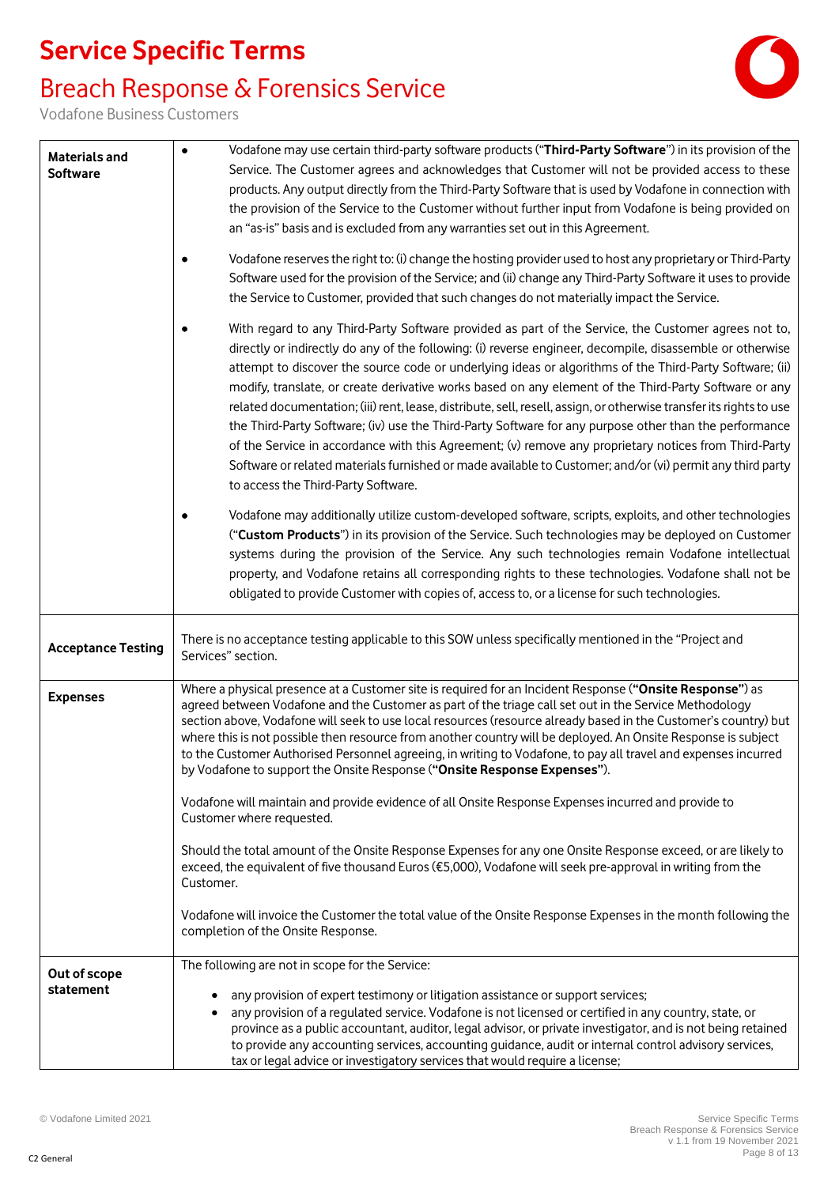## Breach Response & Forensics Service



Vodafone Business Customers

| <b>Materials and</b><br><b>Software</b> | Vodafone may use certain third-party software products ("Third-Party Software") in its provision of the<br>$\bullet$<br>Service. The Customer agrees and acknowledges that Customer will not be provided access to these<br>products. Any output directly from the Third-Party Software that is used by Vodafone in connection with<br>the provision of the Service to the Customer without further input from Vodafone is being provided on<br>an "as-is" basis and is excluded from any warranties set out in this Agreement.<br>Vodafone reserves the right to: (i) change the hosting provider used to host any proprietary or Third-Party<br>Software used for the provision of the Service; and (ii) change any Third-Party Software it uses to provide |
|-----------------------------------------|---------------------------------------------------------------------------------------------------------------------------------------------------------------------------------------------------------------------------------------------------------------------------------------------------------------------------------------------------------------------------------------------------------------------------------------------------------------------------------------------------------------------------------------------------------------------------------------------------------------------------------------------------------------------------------------------------------------------------------------------------------------|
|                                         | the Service to Customer, provided that such changes do not materially impact the Service.<br>With regard to any Third-Party Software provided as part of the Service, the Customer agrees not to,<br>directly or indirectly do any of the following: (i) reverse engineer, decompile, disassemble or otherwise                                                                                                                                                                                                                                                                                                                                                                                                                                                |
|                                         | attempt to discover the source code or underlying ideas or algorithms of the Third-Party Software; (ii)<br>modify, translate, or create derivative works based on any element of the Third-Party Software or any<br>related documentation; (iii) rent, lease, distribute, sell, resell, assign, or otherwise transfer its rights to use<br>the Third-Party Software; (iv) use the Third-Party Software for any purpose other than the performance<br>of the Service in accordance with this Agreement; (v) remove any proprietary notices from Third-Party<br>Software or related materials furnished or made available to Customer; and/or (vi) permit any third party<br>to access the Third-Party Software.                                                |
|                                         | Vodafone may additionally utilize custom-developed software, scripts, exploits, and other technologies<br>("Custom Products") in its provision of the Service. Such technologies may be deployed on Customer<br>systems during the provision of the Service. Any such technologies remain Vodafone intellectual<br>property, and Vodafone retains all corresponding rights to these technologies. Vodafone shall not be<br>obligated to provide Customer with copies of, access to, or a license for such technologies.                                                                                                                                                                                                                                       |
| <b>Acceptance Testing</b>               | There is no acceptance testing applicable to this SOW unless specifically mentioned in the "Project and<br>Services" section.                                                                                                                                                                                                                                                                                                                                                                                                                                                                                                                                                                                                                                 |
| <b>Expenses</b>                         | Where a physical presence at a Customer site is required for an Incident Response ("Onsite Response") as<br>agreed between Vodafone and the Customer as part of the triage call set out in the Service Methodology<br>section above, Vodafone will seek to use local resources (resource already based in the Customer's country) but<br>where this is not possible then resource from another country will be deployed. An Onsite Response is subject<br>to the Customer Authorised Personnel agreeing, in writing to Vodafone, to pay all travel and expenses incurred<br>by Vodafone to support the Onsite Response ("Onsite Response Expenses").                                                                                                          |
|                                         | Vodafone will maintain and provide evidence of all Onsite Response Expenses incurred and provide to<br>Customer where requested.                                                                                                                                                                                                                                                                                                                                                                                                                                                                                                                                                                                                                              |
|                                         | Should the total amount of the Onsite Response Expenses for any one Onsite Response exceed, or are likely to<br>exceed, the equivalent of five thousand Euros (€5,000), Vodafone will seek pre-approval in writing from the<br>Customer.                                                                                                                                                                                                                                                                                                                                                                                                                                                                                                                      |
|                                         | Vodafone will invoice the Customer the total value of the Onsite Response Expenses in the month following the<br>completion of the Onsite Response.                                                                                                                                                                                                                                                                                                                                                                                                                                                                                                                                                                                                           |
| Out of scope<br>statement               | The following are not in scope for the Service:<br>any provision of expert testimony or litigation assistance or support services;<br>any provision of a regulated service. Vodafone is not licensed or certified in any country, state, or<br>province as a public accountant, auditor, legal advisor, or private investigator, and is not being retained<br>to provide any accounting services, accounting guidance, audit or internal control advisory services,<br>tax or legal advice or investigatory services that would require a license;                                                                                                                                                                                                            |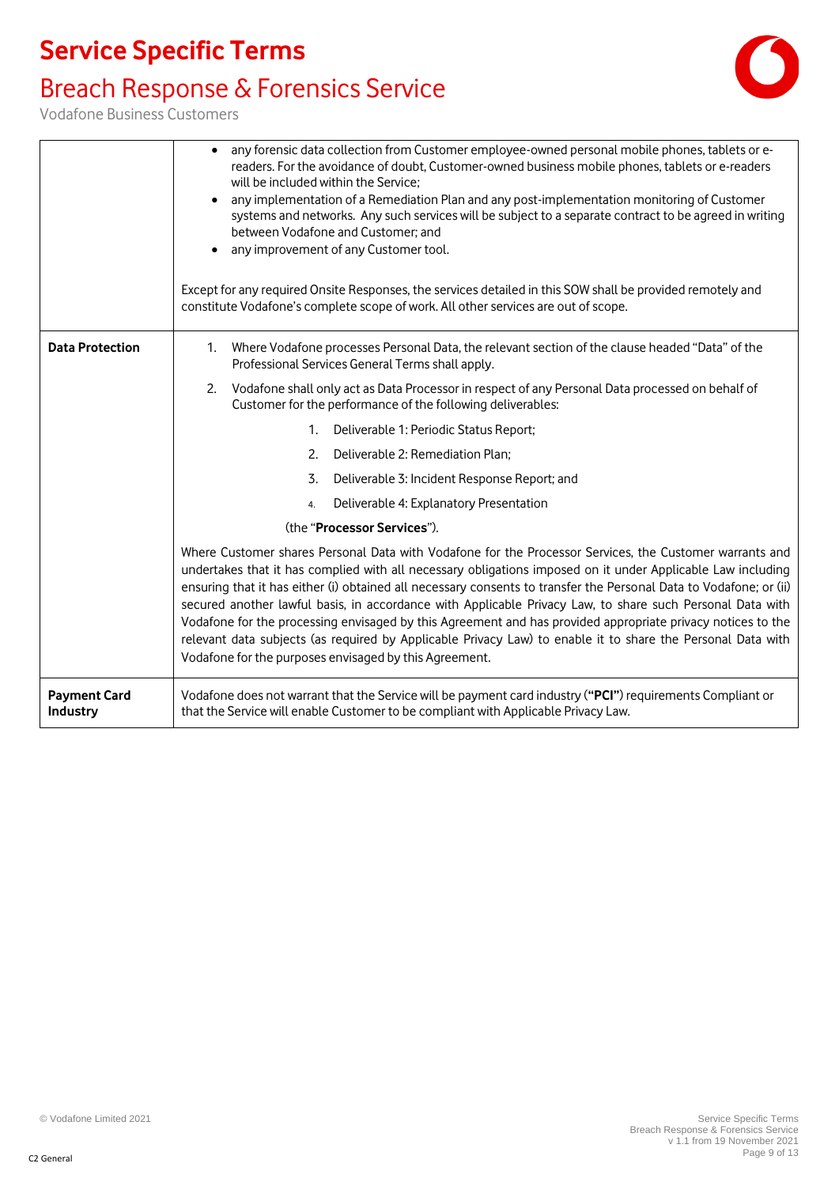### Breach Response & Forensics Service



Vodafone Business Customers

|                                 | any forensic data collection from Customer employee-owned personal mobile phones, tablets or e-<br>readers. For the avoidance of doubt, Customer-owned business mobile phones, tablets or e-readers<br>will be included within the Service;<br>any implementation of a Remediation Plan and any post-implementation monitoring of Customer<br>systems and networks. Any such services will be subject to a separate contract to be agreed in writing<br>between Vodafone and Customer; and<br>any improvement of any Customer tool.<br>Except for any required Onsite Responses, the services detailed in this SOW shall be provided remotely and<br>constitute Vodafone's complete scope of work. All other services are out of scope.           |
|---------------------------------|---------------------------------------------------------------------------------------------------------------------------------------------------------------------------------------------------------------------------------------------------------------------------------------------------------------------------------------------------------------------------------------------------------------------------------------------------------------------------------------------------------------------------------------------------------------------------------------------------------------------------------------------------------------------------------------------------------------------------------------------------|
| <b>Data Protection</b>          | 1. Where Vodafone processes Personal Data, the relevant section of the clause headed "Data" of the<br>Professional Services General Terms shall apply.                                                                                                                                                                                                                                                                                                                                                                                                                                                                                                                                                                                            |
|                                 | 2. Vodafone shall only act as Data Processor in respect of any Personal Data processed on behalf of<br>Customer for the performance of the following deliverables:                                                                                                                                                                                                                                                                                                                                                                                                                                                                                                                                                                                |
|                                 | 1. Deliverable 1: Periodic Status Report;                                                                                                                                                                                                                                                                                                                                                                                                                                                                                                                                                                                                                                                                                                         |
|                                 | 2. Deliverable 2: Remediation Plan;                                                                                                                                                                                                                                                                                                                                                                                                                                                                                                                                                                                                                                                                                                               |
|                                 | Deliverable 3: Incident Response Report; and<br>3.                                                                                                                                                                                                                                                                                                                                                                                                                                                                                                                                                                                                                                                                                                |
|                                 | Deliverable 4: Explanatory Presentation<br>4.                                                                                                                                                                                                                                                                                                                                                                                                                                                                                                                                                                                                                                                                                                     |
|                                 | (the "Processor Services").                                                                                                                                                                                                                                                                                                                                                                                                                                                                                                                                                                                                                                                                                                                       |
|                                 | Where Customer shares Personal Data with Vodafone for the Processor Services, the Customer warrants and<br>undertakes that it has complied with all necessary obligations imposed on it under Applicable Law including<br>ensuring that it has either (i) obtained all necessary consents to transfer the Personal Data to Vodafone; or (ii)<br>secured another lawful basis, in accordance with Applicable Privacy Law, to share such Personal Data with<br>Vodafone for the processing envisaged by this Agreement and has provided appropriate privacy notices to the<br>relevant data subjects (as required by Applicable Privacy Law) to enable it to share the Personal Data with<br>Vodafone for the purposes envisaged by this Agreement. |
| <b>Payment Card</b><br>Industry | Vodafone does not warrant that the Service will be payment card industry ("PCI") requirements Compliant or<br>that the Service will enable Customer to be compliant with Applicable Privacy Law.                                                                                                                                                                                                                                                                                                                                                                                                                                                                                                                                                  |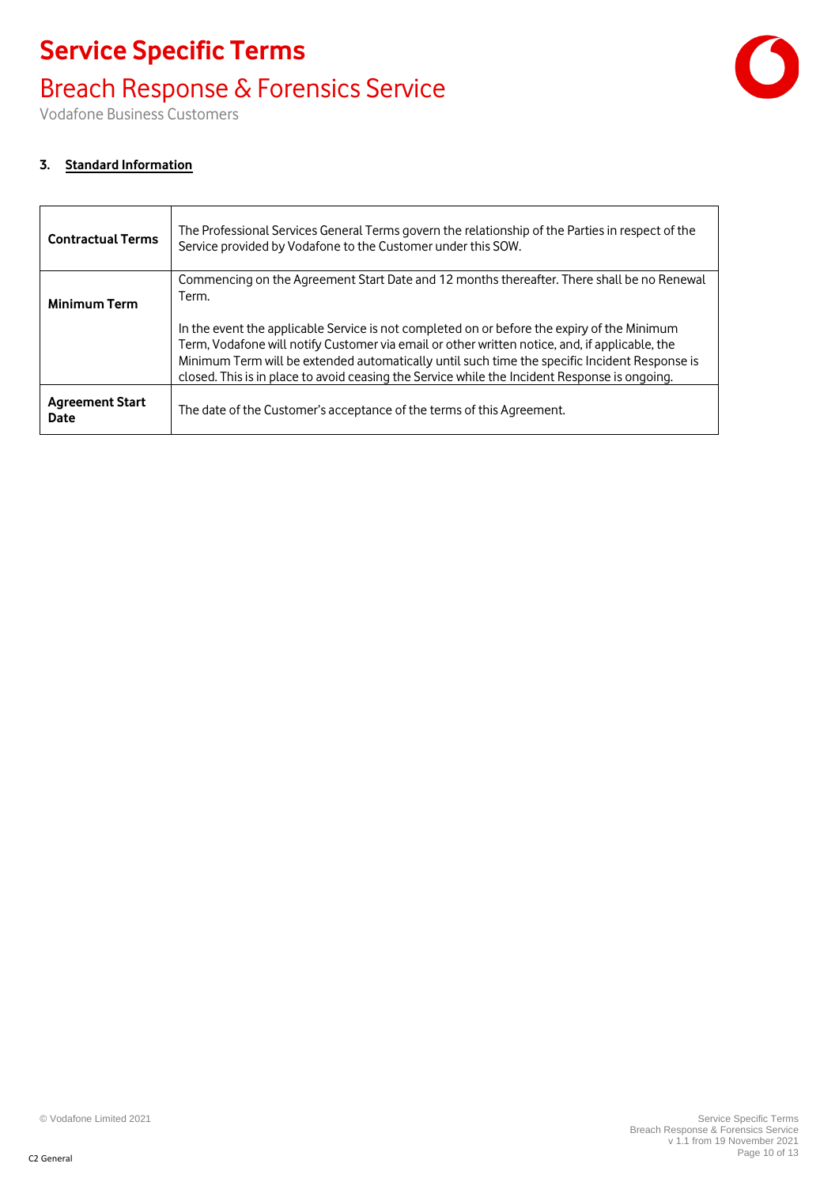### Breach Response & Forensics Service

Vodafone Business Customers

#### **3. Standard Information**

| <b>Contractual Terms</b>       | The Professional Services General Terms govern the relationship of the Parties in respect of the<br>Service provided by Vodafone to the Customer under this SOW.                                                                                                                                                                                                                                |
|--------------------------------|-------------------------------------------------------------------------------------------------------------------------------------------------------------------------------------------------------------------------------------------------------------------------------------------------------------------------------------------------------------------------------------------------|
| <b>Minimum Term</b>            | Commencing on the Agreement Start Date and 12 months thereafter. There shall be no Renewal<br>Term.                                                                                                                                                                                                                                                                                             |
|                                | In the event the applicable Service is not completed on or before the expiry of the Minimum<br>Term, Vodafone will notify Customer via email or other written notice, and, if applicable, the<br>Minimum Term will be extended automatically until such time the specific Incident Response is<br>closed. This is in place to avoid ceasing the Service while the Incident Response is ongoing. |
| <b>Agreement Start</b><br>Date | The date of the Customer's acceptance of the terms of this Agreement.                                                                                                                                                                                                                                                                                                                           |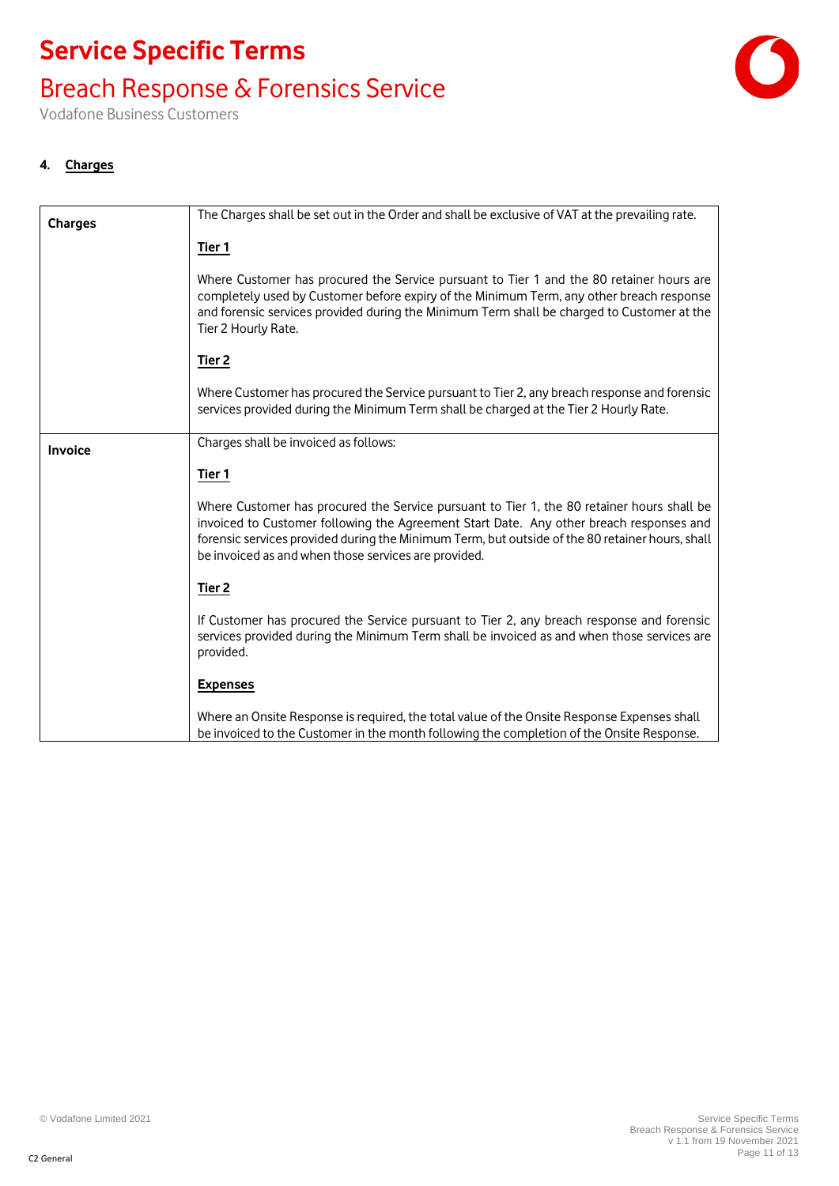### Breach Response & Forensics Service

Vodafone Business Customers

#### **4. Charges**

| <b>Charges</b> | The Charges shall be set out in the Order and shall be exclusive of VAT at the prevailing rate.                                                                                                                                                                                                                                                  |  |
|----------------|--------------------------------------------------------------------------------------------------------------------------------------------------------------------------------------------------------------------------------------------------------------------------------------------------------------------------------------------------|--|
|                | Tier 1                                                                                                                                                                                                                                                                                                                                           |  |
|                |                                                                                                                                                                                                                                                                                                                                                  |  |
|                | Where Customer has procured the Service pursuant to Tier 1 and the 80 retainer hours are<br>completely used by Customer before expiry of the Minimum Term, any other breach response<br>and forensic services provided during the Minimum Term shall be charged to Customer at the<br>Tier 2 Hourly Rate.                                        |  |
|                | Tier <sub>2</sub>                                                                                                                                                                                                                                                                                                                                |  |
|                | Where Customer has procured the Service pursuant to Tier 2, any breach response and forensic<br>services provided during the Minimum Term shall be charged at the Tier 2 Hourly Rate.                                                                                                                                                            |  |
| Invoice        | Charges shall be invoiced as follows:                                                                                                                                                                                                                                                                                                            |  |
|                | Tier 1                                                                                                                                                                                                                                                                                                                                           |  |
|                | Where Customer has procured the Service pursuant to Tier 1, the 80 retainer hours shall be<br>invoiced to Customer following the Agreement Start Date. Any other breach responses and<br>forensic services provided during the Minimum Term, but outside of the 80 retainer hours, shall<br>be invoiced as and when those services are provided. |  |
|                | Tier <sub>2</sub>                                                                                                                                                                                                                                                                                                                                |  |
|                | If Customer has procured the Service pursuant to Tier 2, any breach response and forensic<br>services provided during the Minimum Term shall be invoiced as and when those services are<br>provided.                                                                                                                                             |  |
|                | <b>Expenses</b>                                                                                                                                                                                                                                                                                                                                  |  |
|                | Where an Onsite Response is required, the total value of the Onsite Response Expenses shall<br>be invoiced to the Customer in the month following the completion of the Onsite Response.                                                                                                                                                         |  |

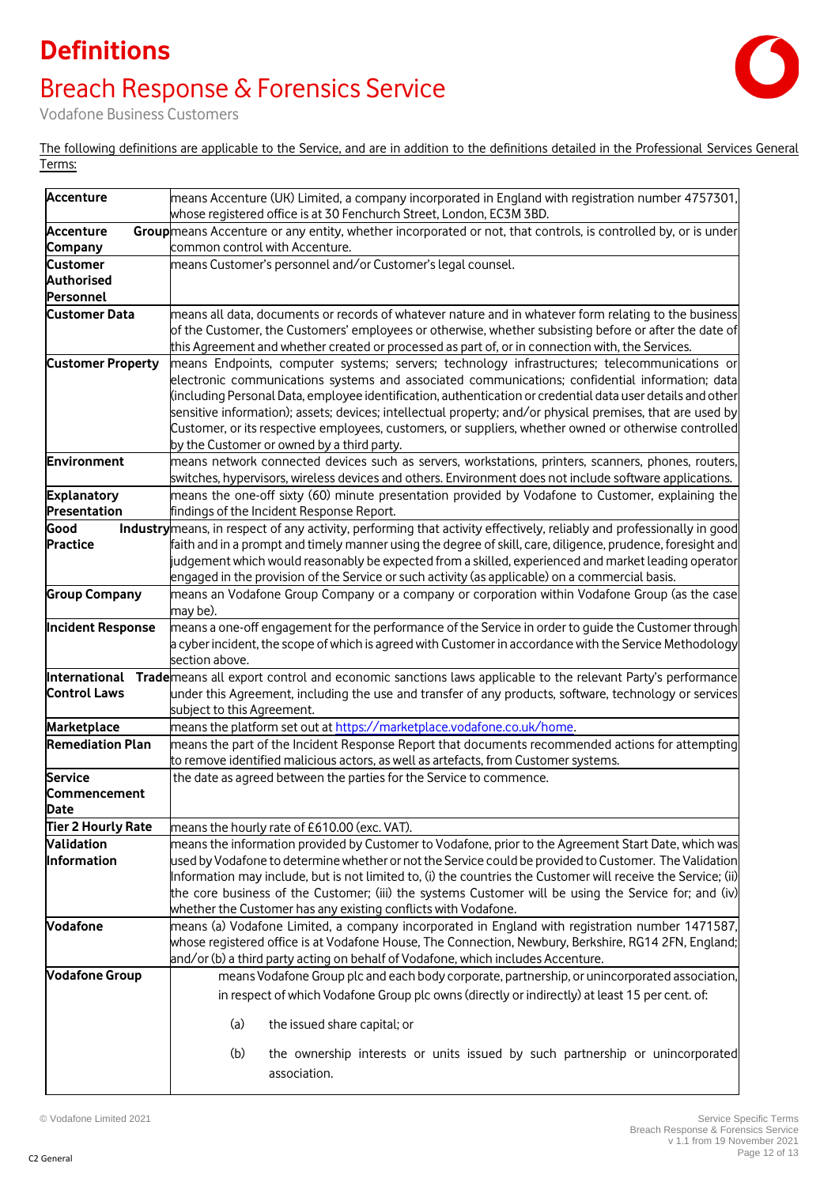## **Definitions** Breach Response & Forensics Service



Vodafone Business Customers

The following definitions are applicable to the Service, and are in addition to the definitions detailed in the Professional Services General Terms:

| <b>Accenture</b>                   | means Accenture (UK) Limited, a company incorporated in England with registration number 4757301,<br>whose registered office is at 30 Fenchurch Street, London, EC3M 3BD. |
|------------------------------------|---------------------------------------------------------------------------------------------------------------------------------------------------------------------------|
| <b>Accenture</b>                   | Group means Accenture or any entity, whether incorporated or not, that controls, is controlled by, or is under                                                            |
| Company                            | common control with Accenture.                                                                                                                                            |
| <b>Customer</b>                    | means Customer's personnel and/or Customer's legal counsel.                                                                                                               |
| <b>Authorised</b>                  |                                                                                                                                                                           |
| Personnel                          |                                                                                                                                                                           |
| <b>Customer Data</b>               | means all data, documents or records of whatever nature and in whatever form relating to the business                                                                     |
|                                    | of the Customer, the Customers' employees or otherwise, whether subsisting before or after the date of                                                                    |
|                                    | this Agreement and whether created or processed as part of, or in connection with, the Services.                                                                          |
| <b>Customer Property</b>           | means Endpoints, computer systems; servers; technology infrastructures; telecommunications or                                                                             |
|                                    | electronic communications systems and associated communications; confidential information; data                                                                           |
|                                    | (including Personal Data, employee identification, authentication or credential data user details and other                                                               |
|                                    | sensitive information); assets; devices; intellectual property; and/or physical premises, that are used by                                                                |
|                                    | Customer, or its respective employees, customers, or suppliers, whether owned or otherwise controlled                                                                     |
| Environment                        | by the Customer or owned by a third party.<br>means network connected devices such as servers, workstations, printers, scanners, phones, routers,                         |
|                                    | switches, hypervisors, wireless devices and others. Environment does not include software applications.                                                                   |
| <b>Explanatory</b>                 | means the one-off sixty (60) minute presentation provided by Vodafone to Customer, explaining the                                                                         |
| Presentation                       | findings of the Incident Response Report.                                                                                                                                 |
| Good                               | Industry means, in respect of any activity, performing that activity effectively, reliably and professionally in good                                                     |
| <b>Practice</b>                    | faith and in a prompt and timely manner using the degree of skill, care, diligence, prudence, foresight and                                                               |
|                                    | judgement which would reasonably be expected from a skilled, experienced and market leading operator                                                                      |
|                                    | engaged in the provision of the Service or such activity (as applicable) on a commercial basis.                                                                           |
| <b>Group Company</b>               | means an Vodafone Group Company or a company or corporation within Vodafone Group (as the case                                                                            |
|                                    | may be).                                                                                                                                                                  |
| <b>Incident Response</b>           | means a one-off engagement for the performance of the Service in order to guide the Customer through                                                                      |
|                                    | a cyber incident, the scope of which is agreed with Customer in accordance with the Service Methodology                                                                   |
|                                    | section above.                                                                                                                                                            |
| International                      | Trade means all export control and economic sanctions laws applicable to the relevant Party's performance                                                                 |
| <b>Control Laws</b>                | under this Agreement, including the use and transfer of any products, software, technology or services                                                                    |
|                                    | subject to this Agreement.                                                                                                                                                |
| Marketplace                        | means the platform set out at https://marketplace.vodafone.co.uk/home.                                                                                                    |
| <b>Remediation Plan</b>            | means the part of the Incident Response Report that documents recommended actions for attempting                                                                          |
|                                    | to remove identified malicious actors, as well as artefacts, from Customer systems.                                                                                       |
| <b>Service</b>                     | the date as agreed between the parties for the Service to commence.                                                                                                       |
| <b>Commencement</b><br><b>Date</b> |                                                                                                                                                                           |
| <b>Tier 2 Hourly Rate</b>          | means the hourly rate of £610.00 (exc. VAT).                                                                                                                              |
| Validation                         | means the information provided by Customer to Vodafone, prior to the Agreement Start Date, which was                                                                      |
| Information                        | used by Vodafone to determine whether or not the Service could be provided to Customer. The Validation                                                                    |
|                                    | Information may include, but is not limited to, (i) the countries the Customer will receive the Service; (ii)                                                             |
|                                    | the core business of the Customer; (iii) the systems Customer will be using the Service for; and (iv)                                                                     |
|                                    | whether the Customer has any existing conflicts with Vodafone.                                                                                                            |
| <b>Vodafone</b>                    | means (a) Vodafone Limited, a company incorporated in England with registration number 1471587,                                                                           |
|                                    | whose registered office is at Vodafone House, The Connection, Newbury, Berkshire, RG14 2FN, England;                                                                      |
|                                    | and/or (b) a third party acting on behalf of Vodafone, which includes Accenture.                                                                                          |
| <b>Vodafone Group</b>              | means Vodafone Group plc and each body corporate, partnership, or unincorporated association,                                                                             |
|                                    | in respect of which Vodafone Group plc owns (directly or indirectly) at least 15 per cent. of:                                                                            |
|                                    | (a)<br>the issued share capital; or                                                                                                                                       |
|                                    | (b)<br>the ownership interests or units issued by such partnership or unincorporated                                                                                      |
|                                    | association.                                                                                                                                                              |
|                                    |                                                                                                                                                                           |